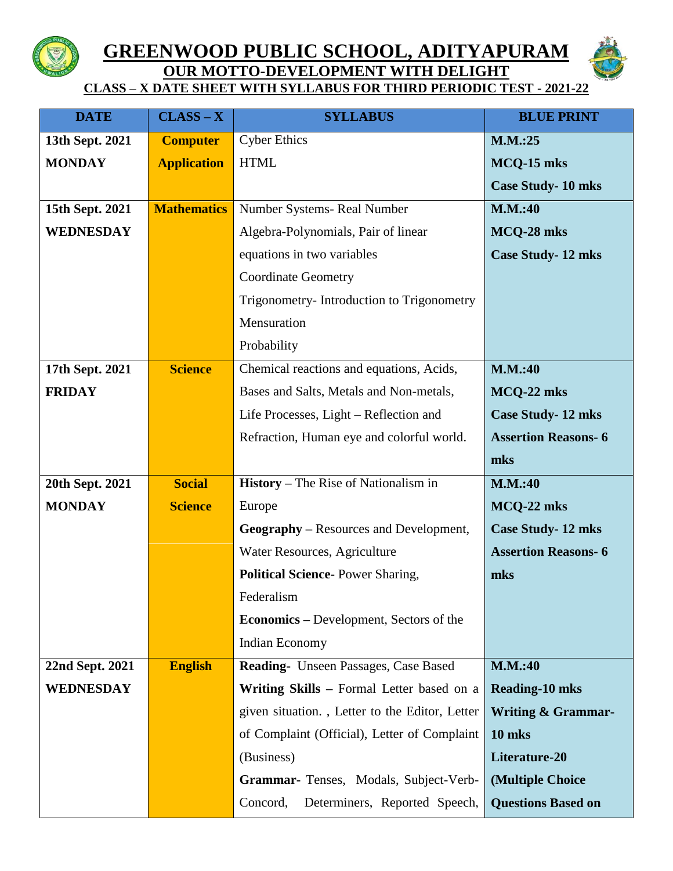

## **GREENWOOD PUBLIC SCHOOL, ADITYAPURAM OUR MOTTO-DEVELOPMENT WITH DELIGHT**



**CLASS – X DATE SHEET WITH SYLLABUS FOR THIRD PERIODIC TEST - 2021-22**

| <b>DATE</b>      | $CLASS - X$        | <b>SYLLABUS</b>                                | <b>BLUE PRINT</b>             |
|------------------|--------------------|------------------------------------------------|-------------------------------|
| 13th Sept. 2021  | <b>Computer</b>    | <b>Cyber Ethics</b>                            | M.M.:25                       |
| <b>MONDAY</b>    | <b>Application</b> | <b>HTML</b>                                    | MCQ-15 mks                    |
|                  |                    |                                                | <b>Case Study-10 mks</b>      |
| 15th Sept. 2021  | <b>Mathematics</b> | Number Systems- Real Number                    | <b>M.M.:40</b>                |
| <b>WEDNESDAY</b> |                    | Algebra-Polynomials, Pair of linear            | MCQ-28 mks                    |
|                  |                    | equations in two variables                     | <b>Case Study-12 mks</b>      |
|                  |                    | <b>Coordinate Geometry</b>                     |                               |
|                  |                    | Trigonometry-Introduction to Trigonometry      |                               |
|                  |                    | Mensuration                                    |                               |
|                  |                    | Probability                                    |                               |
| 17th Sept. 2021  | <b>Science</b>     | Chemical reactions and equations, Acids,       | <b>M.M.:40</b>                |
| <b>FRIDAY</b>    |                    | Bases and Salts, Metals and Non-metals,        | MCQ-22 mks                    |
|                  |                    | Life Processes, Light – Reflection and         | <b>Case Study-12 mks</b>      |
|                  |                    | Refraction, Human eye and colorful world.      | <b>Assertion Reasons-6</b>    |
|                  |                    |                                                | mks                           |
| 20th Sept. 2021  | <b>Social</b>      | <b>History</b> – The Rise of Nationalism in    | <b>M.M.:40</b>                |
| <b>MONDAY</b>    | <b>Science</b>     | Europe                                         | MCQ-22 mks                    |
|                  |                    | <b>Geography</b> – Resources and Development,  | <b>Case Study-12 mks</b>      |
|                  |                    | Water Resources, Agriculture                   | <b>Assertion Reasons-6</b>    |
|                  |                    | <b>Political Science-Power Sharing,</b>        | mks                           |
|                  |                    | Federalism                                     |                               |
|                  |                    | <b>Economics</b> – Development, Sectors of the |                               |
|                  |                    | Indian Economy                                 |                               |
| 22nd Sept. 2021  | <b>English</b>     | Reading- Unseen Passages, Case Based           | <b>M.M.:40</b>                |
| <b>WEDNESDAY</b> |                    | Writing Skills – Formal Letter based on a      | <b>Reading-10 mks</b>         |
|                  |                    | given situation., Letter to the Editor, Letter | <b>Writing &amp; Grammar-</b> |
|                  |                    | of Complaint (Official), Letter of Complaint   | 10 mks                        |
|                  |                    | (Business)                                     | Literature-20                 |
|                  |                    | Grammar- Tenses, Modals, Subject-Verb-         | (Multiple Choice              |
|                  |                    | Determiners, Reported Speech,<br>Concord,      | <b>Questions Based on</b>     |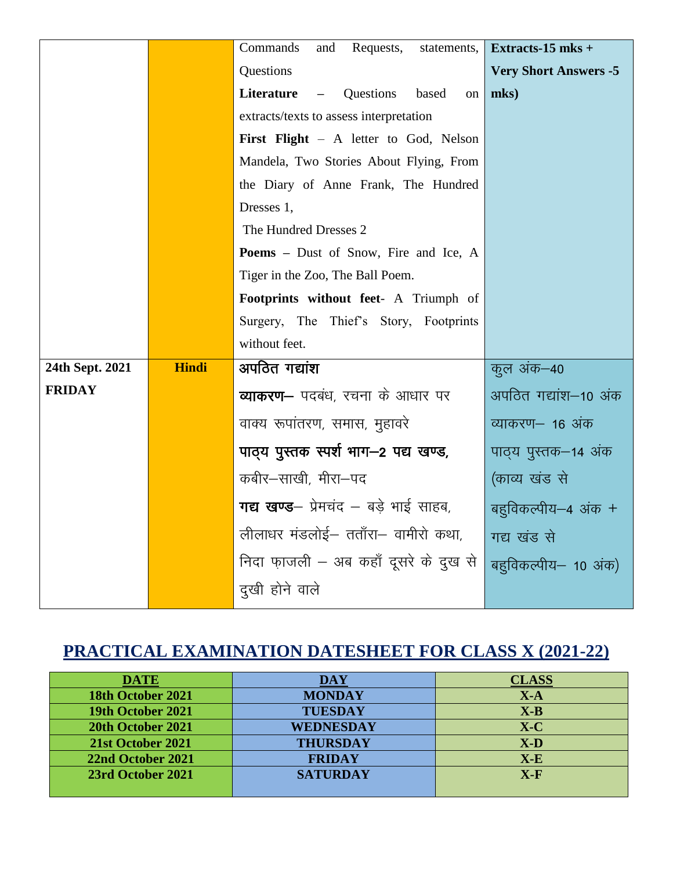|                 |              | Commands<br>Requests,<br>and<br>statements,  | Extracts-15 mks +            |
|-----------------|--------------|----------------------------------------------|------------------------------|
|                 |              | Questions                                    | <b>Very Short Answers -5</b> |
|                 |              | Literature<br>Questions<br>based<br>on       | mks)                         |
|                 |              | extracts/texts to assess interpretation      |                              |
|                 |              | First Flight - A letter to God, Nelson       |                              |
|                 |              | Mandela, Two Stories About Flying, From      |                              |
|                 |              | the Diary of Anne Frank, The Hundred         |                              |
|                 |              | Dresses 1,                                   |                              |
|                 |              | The Hundred Dresses 2                        |                              |
|                 |              | <b>Poems</b> – Dust of Snow, Fire and Ice, A |                              |
|                 |              | Tiger in the Zoo, The Ball Poem.             |                              |
|                 |              | Footprints without feet- A Triumph of        |                              |
|                 |              | Surgery, The Thief's Story, Footprints       |                              |
|                 |              | without feet.                                |                              |
| 24th Sept. 2021 | <b>Hindi</b> | अपठित गद्यांश                                | कूल अंक–40                   |
| <b>FRIDAY</b>   |              | <b>व्याकरण-</b> पदबंध, रचना के आधार पर       | अपठित गद्यांश–10 अंक         |
|                 |              | वाक्य रूपांतरण, समास, मुहावरे                | व्याकरण– 16 अंक              |
|                 |              | पाठ्य पुस्तक स्पर्श भाग-2 पद्य खण्ड,         | पाठ्य पुस्तक–14 अंक          |
|                 |              | कबीर–साखी, मीरा–पद                           | (काव्य खंड से                |
|                 |              | गद्य खण्ड- प्रेमचंद - बड़े भाई साहब,         | बहुविकल्पीय-4 अंक +          |
|                 |              | लीलाधर मंडलोई- तताँरा- वामीरो कथा,           | गद्य खंड से                  |
|                 |              | निदा फ़ाजली – अब कहाँ दूसरे के दुख से        | बहुविकल्पीय- 10 अंक)         |
|                 |              | दुखी होने वाले                               |                              |

## **PRACTICAL EXAMINATION DATESHEET FOR CLASS X (2021-22)**

| <b>DATE</b>       | <b>DAY</b>      | <b>CLASS</b> |
|-------------------|-----------------|--------------|
| 18th October 2021 | <b>MONDAY</b>   | $X-A$        |
| 19th October 2021 | <b>TUESDAY</b>  | $X-B$        |
| 20th October 2021 | WEDNESDAY       | $X-C$        |
| 21st October 2021 | <b>THURSDAY</b> | $X-D$        |
| 22nd October 2021 | <b>FRIDAY</b>   | $X-E$        |
| 23rd October 2021 | <b>SATURDAY</b> | $X-F$        |
|                   |                 |              |